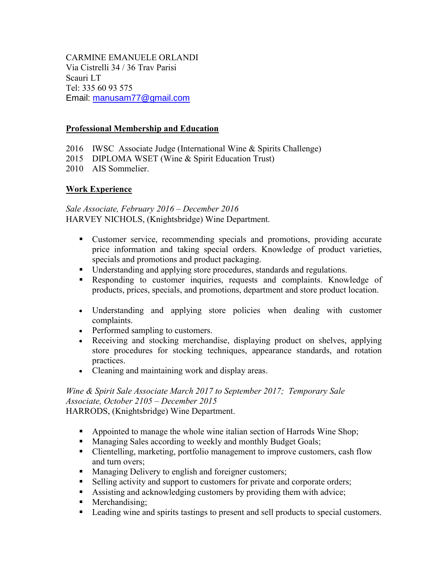CARMINE EMANUELE ORLANDI Via Cistrelli 34 / 36 Trav Parisi Scauri LT Tel: 335 60 93 575 Email: [manusam77@gmail.com](mailto:manusam77@gmail.com)

### **Professional Membership and Education**

- 2016 IWSC Associate Judge (International Wine & Spirits Challenge)
- 2015 DIPLOMA WSET (Wine & Spirit Education Trust)
- 2010 AIS Sommelier.

### **Work Experience**

*Sale Associate, February 2016 – December 2016* HARVEY NICHOLS, (Knightsbridge) Wine Department.

- Customer service, recommending specials and promotions, providing accurate price information and taking special orders. Knowledge of product varieties, specials and promotions and product packaging.
- Understanding and applying store procedures, standards and regulations.
- Responding to customer inquiries, requests and complaints. Knowledge of products, prices, specials, and promotions, department and store product location.
- Understanding and applying store policies when dealing with customer complaints.
- Performed sampling to customers.
- Receiving and stocking merchandise, displaying product on shelves, applying store procedures for stocking techniques, appearance standards, and rotation practices.
- Cleaning and maintaining work and display areas.

### *Wine & Spirit Sale Associate March 2017 to September 2017; Temporary Sale Associate, October 2105 – December 2015* HARRODS, (Knightsbridge) Wine Department.

- Appointed to manage the whole wine italian section of Harrods Wine Shop;
- Managing Sales according to weekly and monthly Budget Goals;
- Clientelling, marketing, portfolio management to improve customers, cash flow and turn overs;
- Managing Delivery to english and foreigner customers;
- Selling activity and support to customers for private and corporate orders;
- Assisting and acknowledging customers by providing them with advice;
- Merchandising:
- **Leading wine and spirits tastings to present and sell products to special customers.**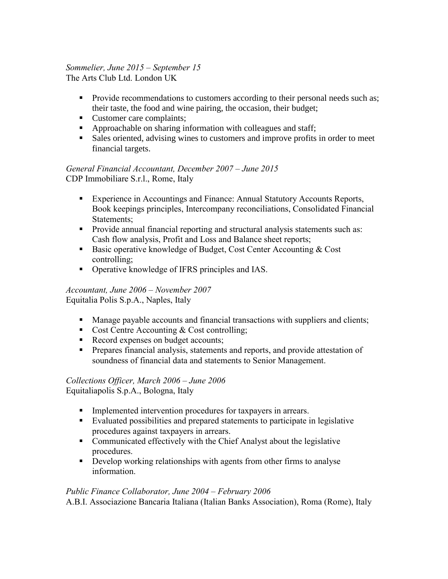#### *Sommelier, June 2015 – September 15* The Arts Club Ltd. London UK

- Provide recommendations to customers according to their personal needs such as; their taste, the food and wine pairing, the occasion, their budget;
- Customer care complaints;
- Approachable on sharing information with colleagues and staff;
- Sales oriented, advising wines to customers and improve profits in order to meet financial targets.

*General Financial Accountant, December 2007 – June 2015* CDP Immobiliare S.r.l., Rome, Italy

- Experience in Accountings and Finance: Annual Statutory Accounts Reports, Book keepings principles, Intercompany reconciliations, Consolidated Financial Statements;
- **Provide annual financial reporting and structural analysis statements such as:** Cash flow analysis, Profit and Loss and Balance sheet reports;
- Basic operative knowledge of Budget, Cost Center Accounting & Cost controlling;
- Operative knowledge of IFRS principles and IAS.

### *Accountant, June 2006 – November 2007* Equitalia Polis S.p.A., Naples, Italy

- Manage payable accounts and financial transactions with suppliers and clients;
- Cost Centre Accounting  $& Cost controlling$ ;
- Record expenses on budget accounts;
- **Prepares financial analysis, statements and reports, and provide attestation of** soundness of financial data and statements to Senior Management.

### *Collections Officer, March 2006 – June 2006* Equitaliapolis S.p.A., Bologna, Italy

- **Implemented intervention procedures for taxpayers in arrears.**
- Evaluated possibilities and prepared statements to participate in legislative procedures against taxpayers in arrears.
- Communicated effectively with the Chief Analyst about the legislative procedures.
- **Develop working relationships with agents from other firms to analyse** information.

## *Public Finance Collaborator, June 2004 – February 2006*

A.B.I. Associazione Bancaria Italiana (Italian Banks Association), Roma (Rome), Italy